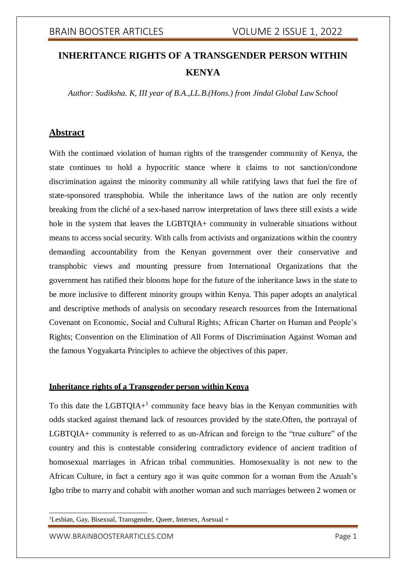# **INHERITANCE RIGHTS OF A TRANSGENDER PERSON WITHIN KENYA**

*Author: Sudiksha. K, III year of B.A.,LL.B.(Hons.) from Jindal Global LawSchool*

## **Abstract**

With the continued violation of human rights of the transgender community of Kenya, the state continues to hold a hypocritic stance where it claims to not sanction/condone discrimination against the minority community all while ratifying laws that fuel the fire of state-sponsored transphobia. While the inheritance laws of the nation are only recently breaking from the cliché of a sex-based narrow interpretation of laws there still exists a wide hole in the system that leaves the LGBTQIA+ community in vulnerable situations without means to access social security. With calls from activists and organizations within the country demanding accountability from the Kenyan government over their conservative and transphobic views and mounting pressure from International Organizations that the government has ratified their blooms hope for the future of the inheritance laws in the state to be more inclusive to different minority groups within Kenya. This paper adopts an analytical and descriptive methods of analysis on secondary research resources from the International Covenant on Economic, Social and Cultural Rights; African Charter on Human and People's Rights; Convention on the Elimination of All Forms of Discrimination Against Woman and the famous Yogyakarta Principles to achieve the objectives of this paper.

### **Inheritance rights of a Transgender person within Kenya**

To this date the LGBTQIA+ $^1$  community face heavy bias in the Kenyan communities with odds stacked against themand lack of resources provided by the state.Often, the portrayal of LGBTQIA+ community is referred to as un-African and foreign to the "true culture" of the country and this is contestable considering contradictory evidence of ancient tradition of homosexual marriages in African tribal communities. Homosexuality is not new to the African Culture, in fact a century ago it was quite common for a woman from the Azuah's Igbo tribe to marry and cohabit with another woman and such marriages between 2 women or

 ${}^{1}$ Lesbian, Gay, Bisexual, Transgender, Queer, Intersex, Asexual +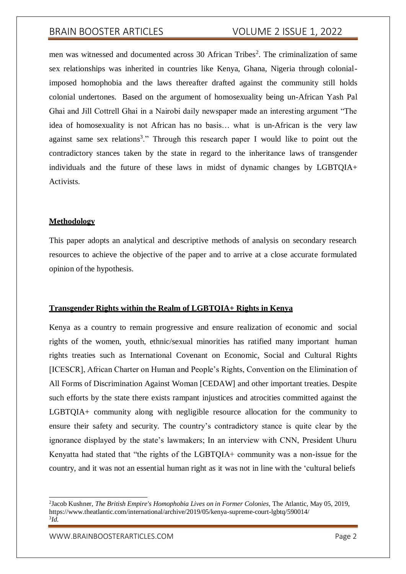men was witnessed and documented across 30 African Tribes<sup>2</sup>. The criminalization of same sex relationships was inherited in countries like Kenya, Ghana, Nigeria through colonialimposed homophobia and the laws thereafter drafted against the community still holds colonial undertones. Based on the argument of homosexuality being un-African Yash Pal Ghai and Jill Cottrell Ghai in a Nairobi daily newspaper made an interesting argument "The idea of homosexuality is not African has no basis… what is un-African is the very law against same sex relations<sup>3</sup>." Through this research paper I would like to point out the contradictory stances taken by the state in regard to the inheritance laws of transgender individuals and the future of these laws in midst of dynamic changes by LGBTQIA+ Activists.

### **Methodology**

This paper adopts an analytical and descriptive methods of analysis on secondary research resources to achieve the objective of the paper and to arrive at a close accurate formulated opinion of the hypothesis.

### **Transgender Rights within the Realm of LGBTQIA+ Rights in Kenya**

Kenya as a country to remain progressive and ensure realization of economic and social rights of the women, youth, ethnic/sexual minorities has ratified many important human rights treaties such as International Covenant on Economic, Social and Cultural Rights [ICESCR], African Charter on Human and People's Rights, Convention on the Elimination of All Forms of Discrimination Against Woman [CEDAW] and other important treaties. Despite such efforts by the state there exists rampant injustices and atrocities committed against the LGBTQIA+ community along with negligible resource allocation for the community to ensure their safety and security. The country's contradictory stance is quite clear by the ignorance displayed by the state's lawmakers; In an interview with CNN, President Uhuru Kenyatta had stated that "the rights of the LGBTQIA+ community was a non-issue for the country, and it was not an essential human right as it was not in line with the 'cultural beliefs

<sup>&</sup>lt;sup>2</sup>Jacob Kushner, *The British Empire's Homophobia Lives on in Former Colonies*, The Atlantic, May 05, 2019, https:/[/www.theatlantic.com/international/archive/2019/05/kenya-supreme-court-lgbtq/590014/](http://www.theatlantic.com/international/archive/2019/05/kenya-supreme-court-lgbtq/590014/) 3 *Id.*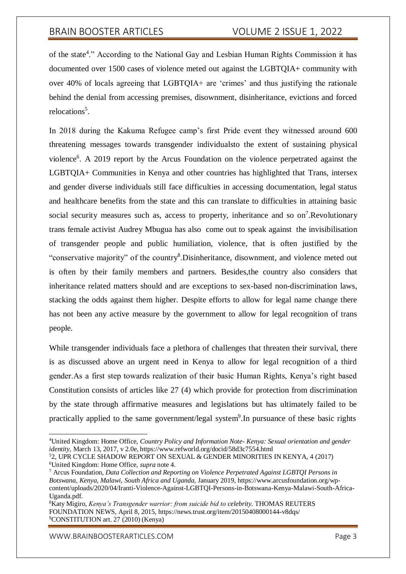of the state<sup>4</sup>." According to the National Gay and Lesbian Human Rights Commission it has documented over 1500 cases of violence meted out against the LGBTQIA+ community with over 40% of locals agreeing that LGBTQIA+ are 'crimes' and thus justifying the rationale behind the denial from accessing premises, disownment, disinheritance, evictions and forced relocations<sup>5</sup>.

In 2018 during the Kakuma Refugee camp's first Pride event they witnessed around 600 threatening messages towards transgender individualsto the extent of sustaining physical violence<sup>6</sup>. A 2019 report by the Arcus Foundation on the violence perpetrated against the LGBTQIA+ Communities in Kenya and other countries has highlighted that Trans, intersex and gender diverse individuals still face difficulties in accessing documentation, legal status and healthcare benefits from the state and this can translate to difficulties in attaining basic social security measures such as, access to property, inheritance and so on<sup>7</sup>.Revolutionary trans female activist Audrey Mbugua has also come out to speak against the invisibilisation of transgender people and public humiliation, violence, that is often justified by the "conservative majority" of the country<sup>8</sup>. Disinheritance, disownment, and violence meted out is often by their family members and partners. Besides,the country also considers that inheritance related matters should and are exceptions to sex-based non-discrimination laws, stacking the odds against them higher. Despite efforts to allow for legal name change there has not been any active measure by the government to allow for legal recognition of trans people.

While transgender individuals face a plethora of challenges that threaten their survival, there is as discussed above an urgent need in Kenya to allow for legal recognition of a third gender.As a first step towards realization of their basic Human Rights, Kenya's right based Constitution consists of articles like 27 (4) which provide for protection from discrimination by the state through affirmative measures and legislations but has ultimately failed to be practically applied to the same government/legal system<sup>9</sup>. In pursuance of these basic rights

<sup>4</sup>United Kingdom: Home Office, *Country Policy and Information Note- Kenya: Sexual orientation and gender identity,* March 13, 2017, v 2.0e, https:/[/www.refworld.org/docid/58d3c7554.html](http://www.refworld.org/docid/58d3c7554.html)

<sup>5</sup>2, UPR CYCLE SHADOW REPORT ON SEXUAL & GENDER MINORITIES IN KENYA, 4 (2017) <sup>6</sup>United Kingdom: Home Office, *supra* note 4.

<sup>7</sup> Arcus Foundation, *Data Collection and Reporting on Violence Perpetrated Against LGBTQI Persons in Botswana, Kenya, Malawi, South Africa and Uganda,* January 2019, https:/[/www.arcusfoundation.org/wp](http://www.arcusfoundation.org/wp-)content/uploads/2020/04/Iranti-Violence-Against-LGBTQI-Persons-in-Botswana-Kenya-Malawi-South-Africa-Uganda.pdf.

<sup>8</sup>Katy Migiro, *Kenya's Transgender warrior: from suicide bid to celebrity.* THOMAS REUTERS FOUNDATION NEWS, April 8, 2015, https://news.trust.org/item/20150408000144-v8dqs/ <sup>9</sup>CONSTITUTION art. 27 (2010) (Kenya)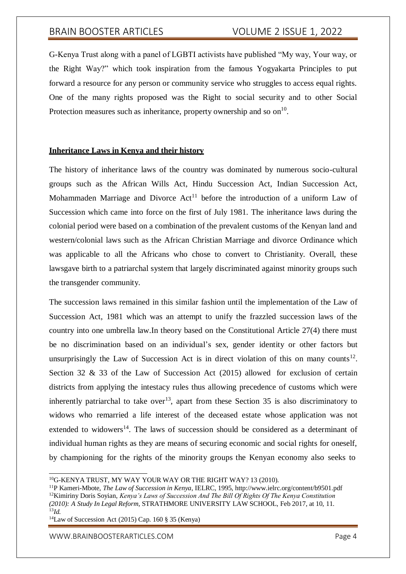G-Kenya Trust along with a panel of LGBTI activists have published "My way, Your way, or the Right Way?" which took inspiration from the famous Yogyakarta Principles to put forward a resource for any person or community service who struggles to access equal rights. One of the many rights proposed was the Right to social security and to other Social Protection measures such as inheritance, property ownership and so  $\text{on}^{10}$ .

#### **Inheritance Laws in Kenya and their history**

The history of inheritance laws of the country was dominated by numerous socio-cultural groups such as the African Wills Act, Hindu Succession Act, Indian Succession Act, Mohammaden Marriage and Divorce Act<sup>11</sup> before the introduction of a uniform Law of Succession which came into force on the first of July 1981. The inheritance laws during the colonial period were based on a combination of the prevalent customs of the Kenyan land and western/colonial laws such as the African Christian Marriage and divorce Ordinance which was applicable to all the Africans who chose to convert to Christianity. Overall, these lawsgave birth to a patriarchal system that largely discriminated against minority groups such the transgender community.

The succession laws remained in this similar fashion until the implementation of the Law of Succession Act, 1981 which was an attempt to unify the frazzled succession laws of the country into one umbrella law.In theory based on the Constitutional Article 27(4) there must be no discrimination based on an individual's sex, gender identity or other factors but unsurprisingly the Law of Succession Act is in direct violation of this on many counts<sup>12</sup>. Section 32 & 33 of the Law of Succession Act (2015) allowed for exclusion of certain districts from applying the intestacy rules thus allowing precedence of customs which were inherently patriarchal to take over<sup>13</sup>, apart from these Section 35 is also discriminatory to widows who remarried a life interest of the deceased estate whose application was not extended to widowers<sup>14</sup>. The laws of succession should be considered as a determinant of individual human rights as they are means of securing economic and social rights for oneself, by championing for the rights of the minority groups the Kenyan economy also seeks to

<sup>11</sup>P Kameri-Mbote, *The Law of Succession in Kenya*, IELRC, 1995[, http://www.ielrc.org/content/b9501.pdf](http://www.ielrc.org/content/b9501.pdf) <sup>12</sup>Kimiriny Doris Soyian, *Kenya's Laws of Succession And The Bill Of Rights Of The Kenya Constitution*

<sup>14</sup>Law of Succession Act (2015) Cap. 160  $\S 35$  (Kenya)

<sup>&</sup>lt;sup>10</sup>G-KENYA TRUST, MY WAY YOUR WAY OR THE RIGHT WAY? 13 (2010).

*<sup>(2010):</sup> A Study In Legal Reform,* STRATHMORE UNIVERSITY LAW SCHOOL, Feb 2017, at 10, 11. <sup>13</sup>*Id.*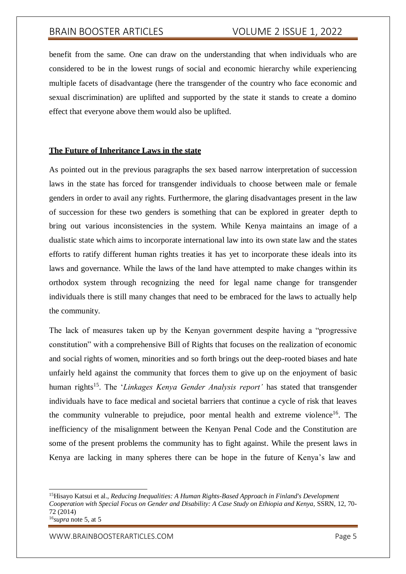benefit from the same. One can draw on the understanding that when individuals who are considered to be in the lowest rungs of social and economic hierarchy while experiencing multiple facets of disadvantage (here the transgender of the country who face economic and sexual discrimination) are uplifted and supported by the state it stands to create a domino effect that everyone above them would also be uplifted.

#### **The Future of Inheritance Laws in the state**

As pointed out in the previous paragraphs the sex based narrow interpretation of succession laws in the state has forced for transgender individuals to choose between male or female genders in order to avail any rights. Furthermore, the glaring disadvantages present in the law of succession for these two genders is something that can be explored in greater depth to bring out various inconsistencies in the system. While Kenya maintains an image of a dualistic state which aims to incorporate international law into its own state law and the states efforts to ratify different human rights treaties it has yet to incorporate these ideals into its laws and governance. While the laws of the land have attempted to make changes within its orthodox system through recognizing the need for legal name change for transgender individuals there is still many changes that need to be embraced for the laws to actually help the community.

The lack of measures taken up by the Kenyan government despite having a "progressive constitution" with a comprehensive Bill of Rights that focuses on the realization of economic and social rights of women, minorities and so forth brings out the deep-rooted biases and hate unfairly held against the community that forces them to give up on the enjoyment of basic human rights<sup>15</sup>. The '*Linkages Kenya Gender Analysis report'* has stated that transgender individuals have to face medical and societal barriers that continue a cycle of risk that leaves the community vulnerable to prejudice, poor mental health and extreme violence<sup>16</sup>. The inefficiency of the misalignment between the Kenyan Penal Code and the Constitution are some of the present problems the community has to fight against. While the present laws in Kenya are lacking in many spheres there can be hope in the future of Kenya's law and

<sup>15</sup>Hisayo Katsui et al., *Reducing Inequalities: A Human Rights-Based Approach in Finland's Development Cooperation with Special Focus on Gender and Disability: A Case Study on Ethiopia and Kenya,* SSRN, 12, 70- 72 (2014) <sup>16</sup>*supra* note 5, at 5

[WWW.BRAINBOOSTERARTICLES.COM](http://www.brainboosterarticles.com/) Page 5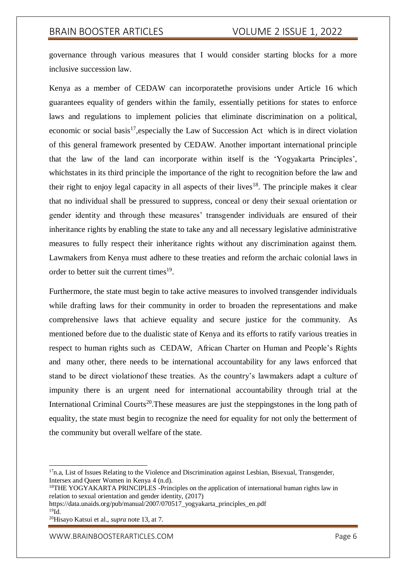governance through various measures that I would consider starting blocks for a more inclusive succession law.

Kenya as a member of CEDAW can incorporatethe provisions under Article 16 which guarantees equality of genders within the family, essentially petitions for states to enforce laws and regulations to implement policies that eliminate discrimination on a political, economic or social basis $^{17}$ , especially the Law of Succession Act which is in direct violation of this general framework presented by CEDAW. Another important international principle that the law of the land can incorporate within itself is the 'Yogyakarta Principles', whichstates in its third principle the importance of the right to recognition before the law and their right to enjoy legal capacity in all aspects of their lives<sup>18</sup>. The principle makes it clear that no individual shall be pressured to suppress, conceal or deny their sexual orientation or gender identity and through these measures' transgender individuals are ensured of their inheritance rights by enabling the state to take any and all necessary legislative administrative measures to fully respect their inheritance rights without any discrimination against them. Lawmakers from Kenya must adhere to these treaties and reform the archaic colonial laws in order to better suit the current times<sup>19</sup>.

Furthermore, the state must begin to take active measures to involved transgender individuals while drafting laws for their community in order to broaden the representations and make comprehensive laws that achieve equality and secure justice for the community. As mentioned before due to the dualistic state of Kenya and its efforts to ratify various treaties in respect to human rights such as CEDAW, African Charter on Human and People's Rights and many other, there needs to be international accountability for any laws enforced that stand to be direct violationof these treaties. As the country's lawmakers adapt a culture of impunity there is an urgent need for international accountability through trial at the International Criminal Courts<sup>20</sup>. These measures are just the steppingstones in the long path of equality, the state must begin to recognize the need for equality for not only the betterment of the community but overall welfare of the state.

<sup>&</sup>lt;sup>17</sup>n.a, List of Issues Relating to the Violence and Discrimination against Lesbian, Bisexual, Transgender, Intersex and Queer Women in Kenya 4 (n.d).

<sup>&</sup>lt;sup>18</sup>THE YOGYAKARTA PRINCIPLES -Principles on the application of international human rights law in relation to sexual orientation and gender identity, (2017)

https://data.unaids.org/pub/manual/2007/070517\_yogyakarta\_principles\_en.pdf  $^{19}$ Id.

<sup>20</sup>Hisayo Katsui et al., *supra* note 13, at 7.